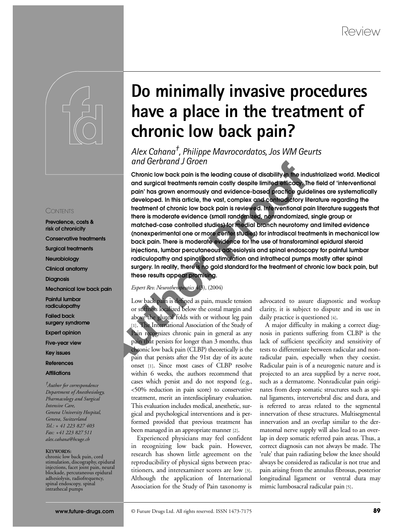Review

# CONTENTS

**Prevalence, costs & risk of chronicity**

**[Conservative treatments](#page-1-0)**

**[Surgical treatments](#page-3-0)**

**[Neurobiology](#page-3-1)** 

**[Clinical anatomy](#page-3-2)** 

**[Diagnosis](#page-3-3)** 

**Mechanical low back pain** 

**Painful lumbar radiculopathy** 

**Failed back [surgery syndrome](#page-6-0)** 

**[Expert opinion](#page-7-0)**

**[Five-year view](#page-8-0)** 

**Key issues** 

**[References](#page-8-1)** 

**[Affiliations](#page-11-0)** 

*† Author for correspondence Department of Anesthesiology, Pharmacology and Surgical Intensive Care, Geneva University Hospital, Geneva, Switzerland Tel.: + 41 223 827 403 Fax: +41 223 827 511 alex.cahana@hcuge.ch*

#### **KEYWORDS:**

chronic low back pain, cord stimulation, discography, epidural injections, facet joint pain, neural blockade, percutaneous epidural adhesiolysis, radiofrequency, spinal endoscopy, spinal intrathecal pumps

# **Do minimally invasive procedures have a place in the treatment of chronic low back pain?**

*Alex Cahana† , Philippe Mavrocordatos, Jos WM Geurts and Gerbrand J Groen*

**Consider the Solution of the Solution Science of distribution** China State and Surgical treatments remind to the Surgical metallical properties and a surgical metallical properties of the state of the state of the method **Chronic low back pain is the leading cause of disability in the industrialized world. Medical and surgical treatments remain costly despite limited efficacy. The field of 'interventional pain' has grown enormously and evidence-based practice guidelines are systematically developed. In this article, the vast, complex and contradictory literature regarding the treatment of chronic low back pain is reviewed. Interventional pain literature suggests that there is moderate evidence (small randomized, nonrandomized, single group or matched-case controlled studies) for medial branch neurotomy and limited evidence (nonexperimental one or more center studies) for intradiscal treatments in mechanical low back pain. There is moderate evidence for the use of transforaminal epidural steroid injections, lumbar percutaneous adhesiolysis and spinal endoscopy for painful lumbar**  radiculopathy and spinal cord stimulation and intrathecal pumps mostly after spinal **surgery. In reality, there is no gold standard for the treatment of chronic low back pain, but these results appear promising.**

# *Expert Rev. Neurotherapeutics* 4(3), (2004)

Low back pain is defined as pain, muscle tension or stiffness localized below the costal margin and above the gluteal folds with or without leg pain [1]. The International Association of the Study of Pain recognizes chronic pain in general as any pain that persists for longer than 3 months, thus chronic low back pain (CLBP) theoretically is the pain that persists after the 91st day of its acute onset [1]. Since most cases of CLBP resolve within 6 weeks, the authors recommend that cases which persist and do not respond (e.g., <50% reduction in pain score) to conservative treatment, merit an interdisciplinary evaluation. This evaluation includes medical, anesthetic, surgical and psychological interventions and is performed provided that previous treatment has been managed in an appropriate manner [2].

Experienced physicians may feel confident in recognizing low back pain. However, research has shown little agreement on the reproducibility of physical signs between practitioners, and interexaminer scores are low [3]. Although the application of International Association for the Study of Pain taxonomy is

advocated to assure diagnostic and workup clarity, it is subject to dispute and its use in daily practice is questioned [4].

A major difficulty in making a correct diagnosis in patients suffering from CLBP is the lack of sufficient specificity and sensitivity of tests to differentiate between radicular and nonradicular pain, especially when they coexist. Radicular pain is of a neurogenic nature and is projected to an area supplied by a nerve root, such as a dermatome. Nonradicular pain originates from deep somatic structures such as spinal ligaments, intervertebral disc and dura, and is referred to areas related to the segmental innervation of these structures. Multisegmental innervation and an overlap similar to the dermatomal nerve supply will also lead to an overlap in deep somatic referred pain areas. Thus, a correct diagnosis can not always be made. The 'rule' that pain radiating below the knee should always be considered as radicular is not true and pain arising from the annulus fibrosus, posterior longitudinal ligament or ventral dura may mimic lumbosacral radicular pain [5].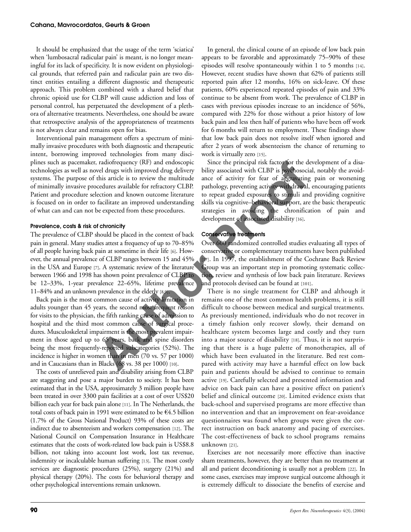It should be emphasized that the usage of the term 'sciatica' when 'lumbosacral radicular pain' is meant, is no longer meaningful for its lack of specificity. It is now evident on physiological grounds, that referred pain and radicular pain are two distinct entities entailing a different diagnostic and therapeutic approach. This problem combined with a shared belief that chronic opioid use for CLBP will cause addiction and loss of personal control, has perpetuated the development of a plethora of alternative treatments. Nevertheless, one should be aware that retrospective analysis of the appropriateness of treatments is not always clear and remains open for bias.

Interventional pain management offers a spectrum of minimally invasive procedures with both diagnostic and therapeutic intent, borrowing improved technologies from many disciplines such as pacemaker, radiofrequency (RF) and endoscopic technologies as well as novel drugs with improved drug delivery systems. The purpose of this article is to review the multitude of minimally invasive procedures available for refractory CLBP. Patient and procedure selection and known outcome literature is focused on in order to facilitate an improved understanding of what can and can not be expected from these procedures.

#### **Prevalence, costs & risk of chronicity**

The prevalence of CLBP should be placed in the context of back pain in general. Many studies attest a frequency of up to 70–85% of all people having back pain at sometime in their life [6]. However, the annual prevalence of CLBP ranges between 15 and 45% in the USA and Europe [7]. A systematic review of the literature between 1966 and 1998 has shown point prevalence of CLBP to be 12–33%, 1-year prevalence 22–65%, lifetime prevalence 11–84% and an unknown prevalence in the elderly [8,9].

Back pain is the most common cause of activity limitation in adults younger than 45 years, the second most frequent reason for visits to the physician, the fifth ranking cause of admission to hospital and the third most common cause of surgical procedures. Musculoskeletal impairment is the most prevalent impairment in those aged up to 65 years, back and spine disorders being the most frequently-reported subcategories (52%). The incidence is higher in women than in men (70 vs. 57 per 1000) and in Caucasians than in Blacks (68 vs. 38 per 1000) [10].

The costs of unrelieved pain and disability arising from CLBP are staggering and pose a major burden to society. It has been estimated that in the USA, approximately 3 million people have been treated in over 3300 pain facilities at a cost of over US\$20 billion each year for back pain alone [11]. In The Netherlands, the total costs of back pain in 1991 were estimated to be  $\epsilon$ 4.5 billion (1.7% of the Gross National Product) 93% of these costs are indirect due to absenteeism and workers compensation [12]. The National Council on Compensation Insurance in Healthcare estimates that the costs of work-related low back pain is US\$8.8 billion, not taking into account lost work, lost tax revenue, indemnity or incalculable human suffering [13]. The most costly services are diagnostic procedures (25%), surgery (21%) and physical therapy (20%). The costs for behavioral therapy and other psychological interventions remain unknown.

In general, the clinical course of an episode of low back pain appears to be favorable and approximately 75–90% of these episodes will resolve spontaneously within 1 to 5 months [14]. However, recent studies have shown that 62% of patients still reported pain after 12 months, 16% on sick-leave. Of these patients, 60% experienced repeated episodes of pain and 33% continue to be absent from work. The prevalence of CLBP in cases with previous episodes increase to an incidence of 56%, compared with 22% for those without a prior history of low back pain and less then half of patients who have been off work for 6 months will return to employment. These findings show that low back pain does not resolve itself when ignored and after 2 years of work absenteeism the chance of returning to work is virtually zero [15].

Since the principal risk factor for the development of a disability associated with CLBP is psychosocial, notably the avoidance of activity for fear of aggravating pain or worsening pathology, preventing activity withdrawal, encouraging patients to repeat graded exposures to stimuli and providing cognitive skills via cognitive–behavioral support, are the basic therapeutic strategies in avoiding the chronification of pain and development of associated disability [16].

#### <span id="page-1-0"></span>**Conservative treatments**

Over 600 randomized controlled studies evaluating all types of conservative or complementary treatments have been published [17]. In 1997, the establishment of the Cochrane Back Review Group was an important step in promoting systematic collection, review and synthesis of low back pain literature. Reviews and protocols devised can be found at [101].

radiotrequency (RF) and endoscopic Since the principal risk tactor for the delivation and known outcome literature bility associated with CLBP is positioned that the distance of activity for fear of aggreeming celustics ev There is no single treatment for CLBP and although it remains one of the most common health problems, it is still difficult to choose between medical and surgical treatments. As previously mentioned, individuals who do not recover in a timely fashion only recover slowly, their demand on healthcare system becomes large and costly and they turn into a major source of disability [18]. Thus, it is not surprising that there is a huge palette of monotherapies, all of which have been evaluated in the literature. Bed rest compared with activity may have a harmful effect on low back pain and patients should be advised to continue to remain active [19]. Carefully selected and presented information and advice on back pain can have a positive effect on patient's belief and clinical outcome [20]. Limited evidence exists that back-school and supervised programs are more effective than no intervention and that an improvement on fear-avoidance questionnaires was found when groups were given the correct instruction on back anatomy and pacing of exercises. The cost-effectiveness of back to school programs remains unknown [21].

> Exercises are not necessarily more effective than inactive sham treatments, however, they are better than no treatment at all and patient deconditioning is usually not a problem [22]. In some cases, exercises may improve surgical outcome although it is extremely difficult to dissociate the benefits of exercise and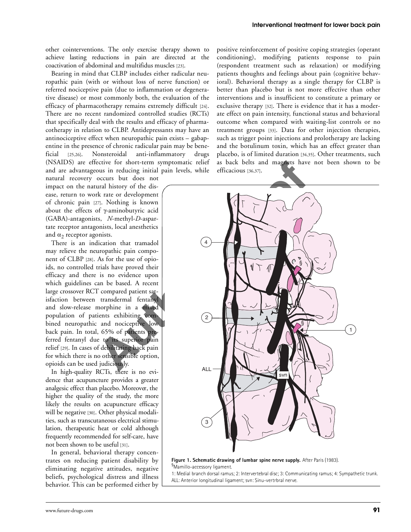other cointerventions. The only exercise therapy shown to achieve lasting reductions in pain are directed at the coactivation of abdominal and multifidus muscles [23].

Bearing in mind that CLBP includes either radicular neuropathic pain (with or without loss of nerve function) or referred nociceptive pain (due to inflammation or degenerative disease) or most commonly both, the evaluation of the efficacy of pharmacotherapy remains extremely difficult [24]. There are no recent randomized controlled studies (RCTs) that specifically deal with the results and efficacy of pharmacotherapy in relation to CLBP. Antidepressants may have an antinociceptive effect when neuropathic pain exists – gabapentine in the presence of chronic radicular pain may be beneficial [25,26]. Nonsteroidal anti-inflammatory drugs (NSAIDS) are effective for short-term symptomatic relief and are advantageous in reducing initial pain levels, while

natural recovery occurs but does not impact on the natural history of the disease, return to work rate or development of chronic pain [27]. Nothing is known about the effects of γ-aminobutyric acid (GABA)-antagonists, *N*-methyl-*D*-aspartate receptor antagonists, local anesthetics and  $\alpha_2$  receptor agonists.

There is an indication that tramadol may relieve the neuropathic pain component of CLBP [28]. As for the use of opioids, no controlled trials have proved their efficacy and there is no evidence upon which guidelines can be based. A recent large crossover RCT compared patient satisfaction between transdermal fentanyl and slow-release morphine in a mixed population of patients exhibiting combined neuropathic and nociceptive low. back pain. In total, 65% of patients preferred fentanyl due to its superior pain relief [29]. In cases of debilitating back pain for which there is no other sensible option, opioids can be used judiciously.

In high-quality RCTs, there is no evidence that acupuncture provides a greater analgesic effect than placebo. Moreover, the higher the quality of the study, the more likely the results on acupuncture efficacy will be negative [30]. Other physical modalities, such as transcutaneous electrical stimulation, therapeutic heat or cold although frequently recommended for self-care, have not been shown to be useful [31].

In general, behavioral therapy concentrates on reducing patient disability by eliminating negative attitudes, negative beliefs, psychological distress and illness behavior. This can be performed either by positive reinforcement of positive coping strategies (operant conditioning), modifying patients response to pain (respondent treatment such as relaxation) or modifying patients thoughts and feelings about pain (cognitive behavioral). Behavioral therapy as a single therapy for CLBP is better than placebo but is not more effective than other interventions and is insufficient to constitute a primary or exclusive therapy [32]. There is evidence that it has a moderate effect on pain intensity, functional status and behavioral outcome when compared with waiting-list controls or no treatment groups [33]. Data for other injection therapies, such as trigger point injections and prolotherapy are lacking and the botulinum toxin, which has an effect greater than placebo, is of limited duration [34,35]. Other treatments, such as back belts and magnets have not been shown to be efficacious [36,37].



#### **Figure 1. Schematic drawing of lumbar spine nerve supply.** After Paris (1983). § Mamillo-accessory ligament.

1: Medial branch dorsal ramus; 2: Intervertebral disc; 3: Communicating ramus; 4: Sympathetic trunk. ALL: Anterior longitudinal ligament; svn: Sinu-vertrbral nerve.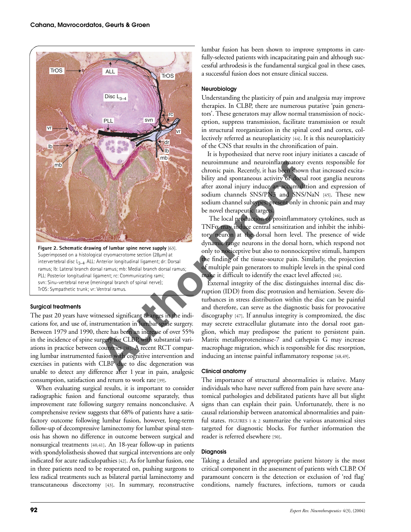

**Figure 2. Schematic drawing of lumbar spine nerve supply** [63]. Superimposed on a histological cryomacrotome section (28µm) at intervertebral disc L3–4. ALL: Anterior longitudinal ligament; dr: Dorsal ramus; lb: Lateral branch dorsal ramus; mb: Medial branch dorsal ramus; PLL: Posterior longitudinal ligament; rc: Communicating rami; svn: Sinu-vertebral nerve (meningeal branch of spinal nerve); TrOS: Sympathetic trunk; vr: Ventral ramus.

#### <span id="page-3-0"></span>**Surgical treatments**

The past 20 years have witnessed significant changes in the indications for, and use of, instrumentation in lumbar spine surgery. Between 1979 and 1990, there has been an increase of over 55% in the incidence of spine surgery for CLBP, with substantial variations in practice between countries [38]. A recent RCT comparing lumbar instrumented fusion with cognitive intervention and exercises in patients with CLBP due to disc degeneration was unable to detect any difference after 1 year in pain, analgesic consumption, satisfaction and return to work rate [39].

When evaluating surgical results, it is important to consider radiographic fusion and functional outcome separately, thus improvement rate following surgery remains nonconclusive. A comprehensive review suggests that 68% of patients have a satisfactory outcome following lumbar fusion, however, long-term follow-up of decompressive laminectomy for lumbar spinal stenosis has shown no difference in outcome between surgical and nonsurgical treatments [40,41]. An 18-year follow-up in patients with spondylolisthesis showed that surgical interventions are only indicated for acute radiculopathies [42]. As for lumbar fusion, one in three patients need to be reoperated on, pushing surgeons to less radical treatments such as bilateral partial laminectomy and transcutaneous discectomy [43]. In summary, reconstructive

lumbar fusion has been shown to improve symptoms in carefully-selected patients with incapacitating pain and although successful arthrodesis is the fundamental surgical goal in these cases, a successful fusion does not ensure clinical success.

# <span id="page-3-1"></span>**Neurobiology**

Understanding the plasticity of pain and analgesia may improve therapies. In CLBP, there are numerous putative 'pain generators'. These generators may allow normal transmission of nociception, suppress transmission, facilitate transmission or result in structural reorganization in the spinal cord and cortex, collectively referred as neuroplasticity [44]. It is this neuroplasticity of the CNS that results in the chronification of pain.

It is hypothesized that nerve root injury initiates a cascade of neuroimmune and neuroinflammatory events responsible for chronic pain. Recently, it has been shown that increased excitability and spontaneous activity of dorsal root ganglia neurons after axonal injury induce an accumulation and expression of sodium channels SNS/PN3 and SNS/NaN [45]. These new sodium channel subtypes, present only in chronic pain and may be novel therapeutic targets.

The local production of proinflammatory cytokines, such as TNFα may induce central sensitization and inhibit the inhibitory neuron at the dorsal horn level. The presence of wide dynamic range neurons in the dorsal horn, which respond not only to nociceptive but also to nonnociceptive stimuli, hampers the finding of the tissue-source pain. Similarly, the projection of multiple pain generators to multiple levels in the spinal cord make it difficult to identify the exact level affected [46].

meution and neuroinflap matery<br>
bility and spontaneous activity the short allows the boxed after a<br>cooling and spontaneous activity of cheral<br>
soldium channels SNS/PN & and SNS/PN and SNS/PN and SNS/PN and SNS/PN<br>
soldium External integrity of the disc distinguishes internal disc disruption (IDD) from disc protrusion and herniation. Severe disturbances in stress distribution within the disc can be painful and therefore, can serve as the diagnostic basis for provocative discography [47]. If annulus integrity is compromized, the disc may secrete extracellular glutamate into the dorsal root ganglion, which may predispose the patient to persistent pain. Matrix metalloproteneinase-7 and cathepsin G may increase macrophage migration, which is responsible for disc resorption, inducing an intense painful inflammatory response [48,49].

# <span id="page-3-2"></span>**Clinical anatomy**

The importance of structural abnormalities is relative. Many individuals who have never suffered from pain have severe anatomical pathologies and debilitated patients have all but slight signs than can explain their pain. Unfortunately, there is no causal relationship between anatomical abnormalities and painful states. FIGURES 1 & 2 summarize the various anatomical sites targeted for diagnostic blocks. For further information the reader is referred elsewhere [50].

# <span id="page-3-3"></span>**Diagnosis**

Taking a detailed and appropriate patient history is the most critical component in the assessment of patients with CLBP. Of paramount concern is the detection or exclusion of 'red flag' conditions, namely fractures, infections, tumors or cauda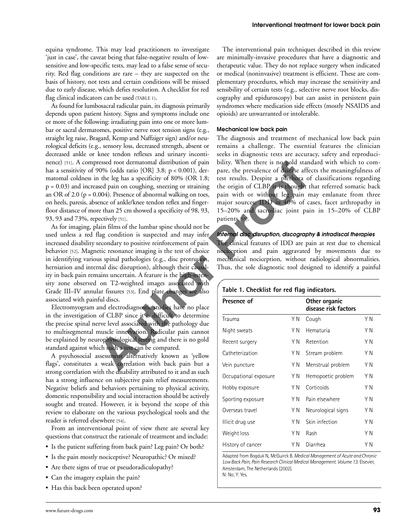equina syndrome. This may lead practitioners to investigate 'just in case', the caveat being that false-negative results of lowsensitive and low-specific tests, may lead to a false sense of security. Red flag conditions are rare – they are suspected on the basis of history, not tests and certain conditions will be missed due to early disease, which defies resolution. A checklist for red flag clinical indicators can be used (TABLE 1).

As found for lumbosacral radicular pain, its diagnosis primarily depends upon patient history. Signs and symptoms include one or more of the following: irradiating pain into one or more lumbar or sacral dermatomes, positive nerve root tension signs (e.g., straight leg raise, Bragard, Kemp and Naffziger sign) and/or neurological deficits (e.g., sensory loss, decreased strength, absent or decreased ankle or knee tendon reflexes and urinary incontinence) [51]. A compressed root dermatomal distribution of pain has a sensitivity of 90% (odds ratio [OR] 3.8; p < 0.001), dermatomal coldness in the leg has a specificity of 80% (OR 1.8; p = 0.03) and increased pain on coughing, sneezing or straining an OR of 2.0 ( $p = 0.004$ ). Presence of abnormal walking on toes, on heels, paresis, absence of ankle/knee tendon reflex and fingerfloor distance of more than 25 cm showed a specificity of 98, 93, 93, 93 and 73%, repectively [51].

ressed root dermatornal distribution of pain bility. When there is no **y**old state<br>
10% (odds ratio (OR) 3.8; p < 0.001), dermatorned distribution the leg has a specificity of 80% (OR 1.8; test results. Despite a precious As for imaging, plain films of the lumbar spine should not be used unless a red flag condition is suspected and may infer increased disability secondary to positive reinforcement of pain behavior [52]. Magnetic resonance imaging is the test of choice in identifying various spinal pathologies (e.g., disc protrusion, herniation and internal disc disruption), although their causality in back pain remains uncertain. A feature is the high-intensity zone observed on T2-weighted images associated with Grade III–IV annular fissures [53]. End plate changes are also associated with painful discs.

Electromyogram and electrodiagnostic studies have no place in the investigation of CLBP since it is difficult to determine the precise spinal nerve level associated with the pathology due to multisegmental muscle innervation. Radicular pain cannot be explained by neurophysiological testing and there is no gold standard against which such a test can be compared.

A psychosocial assessment alternatively known as 'yellow flags', constitutes a weak correlation with back pain but a strong correlation with the disability attributed to it and as such has a strong influence on subjective pain relief measurements. Negative beliefs and behaviors pertaining to physical activity, domestic responsibility and social interaction should be actively sought and treated. However, it is beyond the scope of this review to elaborate on the various psychological tools and the reader is referred elsewhere [54].

From an interventional point of view there are several key questions that construct the rationale of treatment and include:

- Is the patient suffering from back pain? Leg pain? Or both?
- Is the pain mostly nociceptive? Neuropathic? Or mixed?
- Are there signs of true or pseudoradiculopathy?
- Can the imagery explain the pain?
- Has this back been operated upon?

The interventional pain techniques described in this review are minimally-invasive procedures that have a diagnostic and therapeutic value. They do not replace surgery when indicated or medical (noninvasive) treatment is efficient. These are complementary procedures, which may increase the sensitivity and sensibility of certain tests (e.g., selective nerve root blocks, discography and epiduroscopy) but can assist in persistent pain syndromes where medication side effects (mostly NSAIDS and opioids) are unwarranted or intolerable.

#### **Mechanical low back pain**

The diagnosis and treatment of mechanical low back pain remains a challenge. The essential features the clinician seeks in diagnostic tests are accuracy, safety and reproducibility. When there is no gold standard with which to compare, the prevalence of disease affects the meaningfulness of test results. Despite a plethora of classifications regarding the origin of CLBP it is thought that referred somatic back pain with or without leg pain may emlanate from three major sources: IDD in 40% of cases, facet arthropathy in 15–20% and sacroiliac joint pain in 15–20% of CLBP patients [55].

# **Internal disc disruption, discography & intradiscal therapies**

The clinical features of IDD are pain at rest due to chemical nociception and pain aggravated by movements due to mechanical nociception, without radiological abnormalities. Thus, the sole diagnostic tool designed to identify a painful

#### **Table 1. Checklist for red flag indicators.**

| Presence of           |     | Other organic<br>disease risk factors |     |
|-----------------------|-----|---------------------------------------|-----|
| Trauma                | ΥN  | Cough                                 | Y N |
| Night sweats          | ΥN  | Hematuria                             | ΥN  |
| Recent surgery        | ΥN  | Retention                             | Y N |
| Catheterization       | ΥN  | Stream problem                        | ΥN  |
| Vein puncture         | ΥN  | Menstrual problem                     | Y N |
| Occupational exposure | ΥN  | Hemopoetic problem                    | Y N |
| Hobby exposure        | Y N | Corticoids                            | Y N |
| Sporting exposure     | Y N | Pain elsewhere                        | Y N |
| Overseas travel       | ΥN  | Neurological signs                    | Y N |
| Illicit drug use      | Y N | Skin infection                        | Y N |
| Weight loss           | Y N | Rash                                  | Y N |
| History of cancer     | ΥN  | Diarrhea                              | Y N |

Adapted from Bogduk N, McGuirck B. *Medical Management of Acute and Chronic Low Back Pain, Pain Research Clinical Medical Management. Volume 13*. Elsevier, Amsterdam, The Netherlands (2002). N: No; Y: Yes.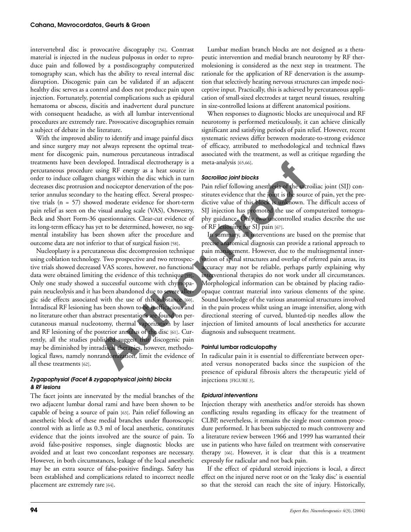intervertebral disc is provocative discography [56]. Contrast material is injected in the nucleus pulposus in order to reproduce pain and followed by a postdiscography computerized tomography scan, which has the ability to reveal internal disc disruption. Discogenic pain can be validated if an adjacent healthy disc serves as a control and does not produce pain upon injection. Fortunately, potential complications such as epidural hematoma or abscess, discitis and inadvertent dural puncture with consequent headache, as with all lumbar interventional procedures are extremely rare. Provocative discographies remain a subject of debate in the literature.

With the improved ability to identify and image painful discs and since surgery may not always represent the optimal treatment for discogenic pain, numerous percutaneous intradiscal treatments have been developed. Intradiscal electrotherapy is a percutaneous procedure using RF energy as a heat source in order to induce collagen changes within the disc which in turn decreases disc protrusion and nociceptor denervation of the posterior annulus secondary to the heating effect. Several prospective trials (n = 57) showed moderate evidence for short-term pain relief as seen on the visual analog scale (VAS), Ostwestry, Beck and Short Form-36 questionnaires. Clear-cut evidence of its long-term efficacy has yet to be determined, however, no segmental instability has been shown after the procedure and outcome data are not inferior to that of surgical fusion [58].

eloped. Intradiscal electrotherapy is a meta-analysis [65,66].<br>
Sing RF energy as a heat source in<br>
thanges within the disc which in turn<br>
or obthe charges within the disc which in turn<br>
or obthe charge control of the pos-Nucleoplasty is a percutaneous disc decompression technique using coblation technology. Two prospective and two retrospective trials showed decreased VAS scores, however, no functional data were obtained limiting the evidence of this technique [59]. Only one study showed a successful outcome with chymopapain neucleolysis and it has been abandoned due to severe allergic side effects associated with the use of this substance [60]. Intradiscal RF lesioning has been shown to be inefficacious and no literature other than abstract presentations are found on percutaneous manual nucleotomy, thermal vaporization by laser and RF lesioning of the posterior annulus of the disc [61]. Currently, all the studies published suggest that discogenic pain may be diminished by intradiscal therapies, however, methodological flaws, namely nonrandomization, limit the evidence of all these treatments [62].

# *Zygapophysial (Facet & zygapophysical joints) blocks & RF lesions*

The facet joints are innervated by the medial branches of the two adjacent lumbar dorsal rami and have been shown to be capable of being a source of pain [63]. Pain relief following an anesthetic block of these medial branches under fluoroscopic control with as little as 0.3 ml of local anesthetic, constitutes evidence that the joints involved are the source of pain. To avoid false-positive responses, single diagnostic blocks are avoided and at least two concordant responses are necessary. However, in both circumstances, leakage of the local anesthetic may be an extra source of false-positive findings. Safety has been established and complications related to incorrect needle placement are extremely rare [64].

Lumbar median branch blocks are not designed as a therapeutic intervention and medial branch neurotomy by RF thermolesioning is considered as the next step in treatment. The rationale for the application of RF denervation is the assumption that selectively heating nervous structures can impede nociceptive input. Practically, this is achieved by percutaneous application of small-sized electrodes at target neural tissues, resulting in size-controlled lesions at different anatomical positions.

When responses to diagnostic blocks are unequivocal and RF neurotomy is performed meticulously, it can achieve clinically significant and satisfying periods of pain relief. However, recent systematic reviews differ between moderate-to-strong evidence of efficacy, attributed to methodological and technical flaws associated with the treatment, as well as critique regarding the meta-analysis [65,66].

# *Sacroiliac joint blocks*

Pain relief following anesthesia of the sacroiliac joint (SIJ) constitutes evidence that the joint is the source of pain, yet the predictive value of this block is unknown. The difficult access of SIJ injection has promoted the use of computerized tomography guidance. Only two uncontrolled studies describe the use of RF lesioning for SIJ pain [67].

In summary, all interventions are based on the premise that precise anatomical diagnosis can provide a rational approach to pain management. However, due to the multisegmental innervation of spinal structures and overlap of referred pain areas, its accuracy may not be reliable, perhaps partly explaining why interventional therapies do not work under all circumstances. Morphological information can be obtained by placing radioopaque contrast material into various elements of the spine. Sound knowledge of the various anatomical structures involved in the pain process whilst using an image intensifier, along with directional steering of curved, blunted-tip needles allow the injection of limited amounts of local anesthetics for accurate diagnosis and subsequent treatment.

#### <span id="page-5-0"></span>*Painful lumbar radiculopathy*

In radicular pain it is essential to differentiate between operated versus nonoperated backs since the suspicion of the presence of epidural fibrosis alters the therapeutic yield of injections [FIGURE 3].

#### *Epidural interventions*

Injection therapy with anesthetics and/or steroids has shown conflicting results regarding its efficacy for the treatment of CLBP, nevertheless, it remains the single most common procedure performed. It has been subjected to much controversy and a literature review between 1966 and 1999 has warranted their use in patients who have failed on treatment with conservative therapy [66]. However, it is clear that this is a treatment expressly for radicular and not back pain.

If the effect of epidural steroid injections is local, a direct effect on the injured nerve root or on the 'leaky disc' is essential so that the steroid can reach the site of injury. Historically,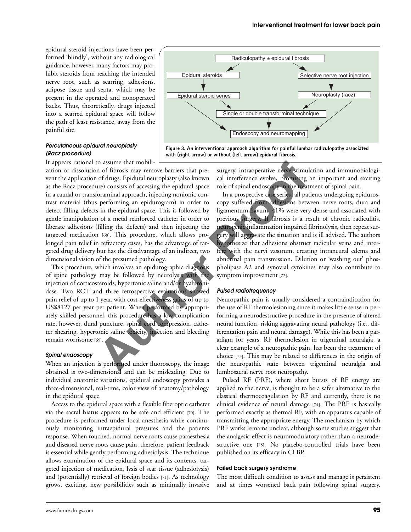epidural steroid injections have been performed 'blindly', without any radiological guidance, however, many factors may prohibit steroids from reaching the intended nerve root, such as scarring, adhesions, adipose tissue and septa, which may be present in the operated and nonoperated backs. Thus, theoretically, drugs injected into a scarred epidural space will follow the path of least resistance, away from the painful site.

# *Percutaneous epidural neuroplasty (Racz procedure)*

It appears rational to assume that mobili-

o assume that mobili-<br>
of fhrosis may remove barriers that pre-<br>
of drugs. Epidural neuroplasty (also known cal interference evolve, promoving<br>
or flores in the control of the tractic control of the section and approach, i zation or dissolution of fibrosis may remove barriers that prevent the application of drugs. Epidural neuroplasty (also known as the Racz procedure) consists of accessing the epidural space in a caudal or transforaminal approach, injecting nonionic contrast material (thus performing an epidurogram) in order to detect filling defects in the epidural space. This is followed by gentle manipulation of a metal reinforced catheter in order to liberate adhesions (filling the defects) and then injecting the targeted medication [68]. This procedure, which allows prolonged pain relief in refractory cases, has the advantage of targeted drug delivery but has the disadvantage of an indirect, two dimensional vision of the presumed pathology.

This procedure, which involves an epidurographic diagnosis of spine pathology may be followed by neurolysis with the injection of corticosteroids, hypertonic saline and/or hyaluronidase. Two RCT and three retrospective evaluations showed pain relief of up to 1 year, with cost-effectiveness gains of up to US\$8127 per year per patient. When performed by appropriately skilled personnel, this procedure has a low complication rate, however, dural puncture, spinal cord compression, catheter shearing, hypertonic saline toxicity, infection and bleeding remain worrisome [69].

# *Spinal endoscopy*

When an injection is performed under fluoroscopy, the image obtained is two-dimensional and can be misleading. Due to individual anatomic variations, epidural endoscopy provides a three-dimensional, real-time, color view of anatomy/pathology in the epidural space.

Access to the epidural space with a flexible fiberoptic catheter via the sacral hiatus appears to be safe and efficient [70]. The procedure is performed under local anesthesia while continuously monitoring intraepidural pressures and the patients response. When touched, normal nerve roots cause paraesthesia and diseased nerve roots cause pain, therefore, patient feedback is essential while gently performing adhesiolysis. The technique allows examination of the epidural space and its contents, targeted injection of medication, lysis of scar tissue (adhesiolysis) and (potentially) retrieval of foreign bodies [71]. As technology grows, exciting, new possibilities such as minimally invasive



**Figure 3. An interventional approach algorithm for painful lumbar radiculopathy associated with (right arrow) or without (left arrow) epidural fibrosis.**

surgery, intraoperative nerve stimulation and immunobiological interference evolve, promising an important and exciting role of spinal endoscopy in the treatment of spinal pain.

In a prospective case series, all patients undergoing epiduroscopy suffered from adhesions between nerve roots, dura and ligamentum flavum, 41% were very dense and associated with previous surgery. If fibrosis is a result of chronic radiculitis, neurogenic inflammation impaired fibrinolysis, then repeat surgery will aggravate the situation and is ill advised. The authors hypothesize that adhesions obstruct radicular veins and interfere with the nervi vasorum, creating intraneural edema and abnormal pain transmission. Dilution or 'washing out' phospholipase A2 and synovial cytokines may also contribute to symptom improvement [72].

#### *Pulsed radiofrequency*

Neuropathic pain is usually considered a contraindication for the use of RF thermolesioning since it makes little sense in performing a neurodestructive procedure in the presence of altered neural function, risking aggravating neural pathology (i.e., differentation pain and neural damage). While this has been a paradigm for years, RF thermolesion in trigeminal neuralgia, a clear example of a neuropathic pain, has been the treatment of choice [73]. This may be related to differences in the origin of the neuropathic state between trigeminal neuralgia and lumbosacral nerve root neuropathy.

Pulsed RF (PRF), where short bursts of RF energy are applied to the nerve, is thought to be a safer alternative to the classical thermocoagulation by RF and currently, there is no clinical evidence of neural damage [74]. The PRF is basically performed exactly as thermal RF, with an apparatus capable of transmitting the appropriate energy. The mechanism by which PRF works remains unclear, although some studies suggest that the analgesic effect is neuromodulatory rather than a neurodestructive one [75]. No placebo-controlled trials have been published on its efficacy in CLBP.

#### <span id="page-6-0"></span>*Failed back surgery syndrome*

The most difficult condition to assess and manage is persistent and at times worsened back pain following spinal surgery,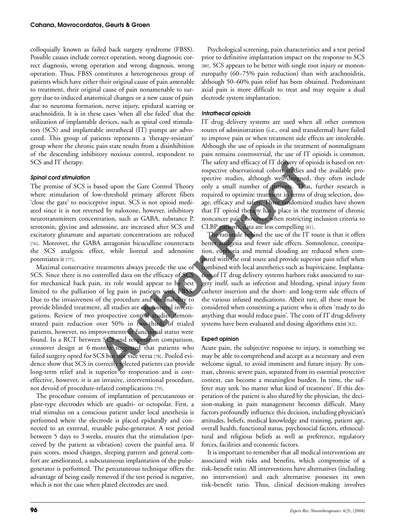colloquially known as failed back surgery syndrome (FBSS). Possible causes include correct operation, wrong diagnosis; correct diagnosis, wrong operation and wrong diagnosis, wrong operation. Thus, FBSS constitutes a heterogeneous group of patients which have either their original cause of pain amenable to treatment, their original cause of pain nonamenable to surgery due to induced anatomical changes or a new cause of pain due to neuroma formation, nerve injury, epidural scarring or arachnoiditis. It is in these cases 'when all else failed' that the utilization of implantable devices, such as spinal cord stimulators (SCS) and implantable intrathecal (IT) pumps are advocated. This group of patients represents a 'therapy-resistant' group where the chronic pain state results from a disinhibition of the descending inhibitory noxious control, respondent to SCS and IT therapy.

#### *Spinal cord stimulation*

The premise of SCS is based upon the Gate Control Theory where stimulation of low-threshold primary afferent fibers 'close the gate' to nociceptive input. SCS is not opioid mediated since it is not reversed by naloxone, however, inhibitory neurotransmitters concentration, such as GABA, substance P, serotonin, glycine and adenosine, are increased after SCS and excitatory glutamate and aspartate concentrations are reduced [76]. Moreover, the GABA antagonist bicuculline counteracts the SCS analgesic effect, while lioresal and adenosine potentiates it [77].

The satety and efficacy of IT delivery of omposite the satety and efficacy of IT delivery of omposite of spective studies, although well-declined w-threshold primary afferent fibery only a small number of *pa*ticines. Thut Maximal conservative treatments always precede the use of SCS. Since there is no controlled data on the efficacy of SCS for mechanical back pain, its role would appear to be best limited to the palliation of leg pain in patients with FBSS. Due to the invasiveness of the procedure and the inability to provide blinded treatment, all studies are case-control investigations. Review of two prospective control studies demonstrated pain reduction over 50% in two-thirds of trialed patients, however, no improvements in functional status were found. In a RCT between SCS and reoperation comparison, crossover design at 6 months suggested that patients who failed surgery opted for SCS but not vice versa [78]. Pooled evidence show that SCS in correctly selected patients can provide long-term relief and is superior to reoperation and is costeffective, however, it is an invasive, interventional procedure, not devoid of procedure-related complications [79].

The procedure consists of implantation of percutaneous or plate-type electrodes which are quadri- or octopolar. First, a trial stimulus on a conscious patient under local anesthesia is performed where the electrode is placed epidurally and connected to an external, reusable pulse-generator. A test period between 5 days to 3 weeks, ensures that the stimulation (perceived by the patient as vibration) covers the painful area. If pain scores, mood changes, sleeping pattern and general comfort are ameliorated, a subcutaneous implantation of the pulsegenerator is performed. The percutaneous technique offers the advantage of being easily removed if the test period is negative, which is not the case when plated electrodes are used.

Psychological screening, pain characteristics and a test period prior to definitive implantation impact on the response to SCS [80]. SCS appears to be better with single root injury or mononeuropathy (60–75% pain reduction) than with arachnoiditis, although 50–60% pain relief has been obtained. Predominant axial pain is more difficult to treat and may require a dual electrode system implantation.

#### *Intrathecal opioids*

IT drug delivery systems are used when all other common routes of administration (i.e., oral and transdermal) have failed to improve pain or when treatment side effects are intolerable. Although the use of opioids in the treatment of nonmalignant pain remains controversial, the use of IT opioids is common. The safety and efficacy of IT delivery of opioids is based on retrospective observational cohort studies and the available prospective studies, although well-designed, they often include only a small number of patients. Thus, further research is required to optimize treatment in terms of drug selection, dosage, efficacy and safety. Three randomized studies have shown that IT opioid therapy has a place in the treatment of chronic noncancer pain, however, when restricting inclusion criteria to CLBP patients, data are less compelling [81].

The rationale behind the use of the IT route is that it offers better analgesia and fewer side effects. Somnolence, constipation, euphoria and mental clouding are reduced when compared with the oral route and provide superior pain relief when combined with local anesthetics such as bupivicaine. Implantation of IT drug delivery systems harbors risks associated to surgery itself, such as infection and bleeding, spinal injury from catheter insertion and the short- and long-term side effects of the various infused medications. Albeit rare, all these must be considered when consenting a patient who is often 'ready to do anything that would reduce pain'. The costs of IT drug delivery systems have been evaluated and dosing algorithms exist [82].

#### <span id="page-7-0"></span>*Expert opinion*

Acute pain, the subjective response to injury, is something we may be able to comprehend and accept as a necessary and even welcome signal, to avoid imminent and future injury. By contrast, chronic severe pain, separated from its essential protective context, can become a meaningless burden. In time, the sufferer may seek 'no matter what kind of treatment'. If this desperation of the patient is also shared by the physician, the decision-making in pain management becomes difficult. Many factors profoundly influence this decision, including physician's attitudes, beliefs, medical knowledge and training, patient age, overall health, functional status, psychosocial factors, ethnocultural and religious beliefs as well as preference, regulatory forces, facilities and economic factors.

It is important to remember that all medical interventions are associated with risks and benefits, which compromise of a risk–benefit ratio. All interventions have alternatives (including no intervention) and each alternative possesses its own risk–benefit ratio. Thus, clinical decision-making involves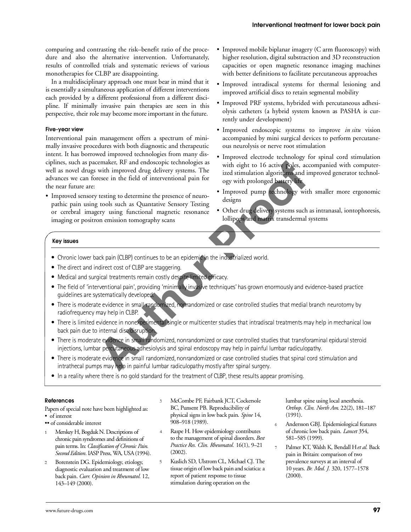comparing and contrasting the risk–benefit ratio of the procedure and also the alternative intervention. Unfortunately, results of controlled trials and systematic reviews of various monotherapies for CLBP are disappointing.

In a multidisciplinary approach one must bear in mind that it is essentially a simultaneous application of different interventions each provided by a different professional from a different discipline. If minimally invasive pain therapies are seen in this perspective, their role may become more important in the future.

#### <span id="page-8-0"></span>**Five-year view**

Interventional pain management offers a spectrum of minimally invasive procedures with both diagnostic and therapeutic intent. It has borrowed improved technologies from many disciplines, such as pacemaker, RF and endoscopic technologies as well as novel drugs with improved drug delivery systems. The advances we can foresee in the field of interventional pain for the near future are:

Examples the relation of the providing determined and proportional particles.<br>
Authin providing determine the presence of neuro-<br> **Authine The Control of the control of the control of the control of the control of the cont** • Improved sensory testing to determine the presence of neuropathic pain using tools such as Quantative Sensory Testing or cerebral imagery using functional magnetic resonance imaging or positron emission tomography scans

- Improved mobile biplanar imagery (C arm fluoroscopy) with higher resolution, digital substraction and 3D reconstruction capacities or open magnetic resonance imaging machines with better definitions to facilitate percutaneous approaches
- Improved intradiscal systems for thermal lesioning and improved artificial discs to retain segmental mobility
- Improved PRF systems, hybrided with percutaneous adhesiolysis catheters (a hybrid system known as PASHA is currently under development)
- Improved endoscopic systems to improve *in situ* vision accompanied by mini surgical devices to perform percutaneous neurolysis or nerve root stimulation
- Improved electrode technology for spinal cord stimulation with eight to 16 active poles, accompanied with computerized stimulation algorithms and improved generator technology with prolonged battery life
- Improved pump technology with smaller more ergonomic designs
- Other drug delivery systems such as intranasal, iontophoresis, lollipops and matrix transdermal systems

#### **Key issues**

- Chronic lower back pain (CLBP) continues to be an epidemic in the industrialized world.
- The direct and indirect cost of CLBP are staggering.
- Medical and surgical treatments remain costly despite limited efficacy.
- The field of 'interventional pain', providing 'minimally invasive techniques' has grown enormously and evidence-based practice guidelines are systematically developed.
- There is moderate evidence in small randomized, nonrandomized or case controlled studies that medial branch neurotomy by radiofrequency may help in CLBP.
- There is limited evidence in nonexperimental single or multicenter studies that intradiscal treatments may help in mechanical low back pain due to internal disc disruption.
- There is moderate evidence in small randomized, nonrandomized or case controlled studies that transforaminal epidural steroid injections, lumbar percutaneous adhesiolysis and spinal endoscopy may help in painful lumbar radiculopathy.
- There is moderate evidence in small randomized, nonrandomized or case controlled studies that spinal cord stimulation and intrathecal pumps may help in painful lumbar radiculopathy mostly after spinal surgery.
- In a reality where there is no gold standard for the treatment of CLBP, these results appear promising.

#### <span id="page-8-1"></span>**References**

Papers of special note have been highlighted as: • of interest

•• of considerable interest

- 1 Merskey H, Bogduk N. Descriptions of chronic pain syndromes and definitions of pain terms. In: *Classification of Chronic Pain*. *Second Edition*. IASP Press, WA, USA (1994).
- <sup>2</sup> Borenstein DG. Epidemiology, etiology, diagnostic evaluation and treatment of low back pain. *Curr. Opinion in Rheumatol.* 12, 143–149 (2000).
- <sup>3</sup> McCombe PF, Fairbank JCT, Cockersole BC, Punsent PB. Reproducibility of physical signs in low back pain. *Spine* 14, 908–918 (1989).
- Raspe H. How epidemiology contributes to the management of spinal disorders. *Best Practice Res. Clin. Rheumatol.* 16(1), 9–21 (2002).
- <sup>5</sup> Kuslich SD, Ulstrom CL, Michael CJ. The tissue origin of low back pain and sciatica: a report of patient response to tissue stimulation during operation on the

lumbar spine using local anesthesia. *Orthop. Clin. North Am.* 22(2), 181–187 (1991).

- 6 Andersson GBJ. Epidemiological features of chronic low back pain. *Lancet* 354, 581–585 (1999).
- Palmer KT, Walsh K, Bendall Het al. Back pain in Britain: comparison of two prevalence surveys at an interval of 10 years. *Br. Med. J.* 320, 1577–1578 (2000).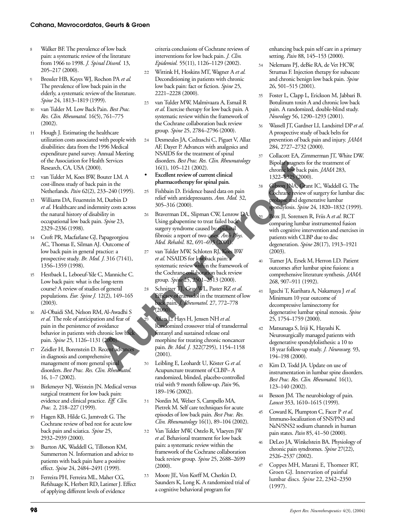- 8 Walker BF. The prevalence of low back pain: a systematic review of the literature from 1966 to 1998. *J. Spinal Disord.* 13, 205–217 (2000).
- 9 Bressler HB, Keyes WJ, Rochon PA *et al.* The prevalence of low back pain in the elderly, a systematic review of the literature. *Spine* 24, 1813–1819 (1999).
- 10 van Tulder M. Low Back Pain. *Best Prac. Res. Clin. Rheumatol.* 16(5), 761–775 (2002).
- 11 Hough J. Estimating the healthcare utilization costs associated with people with disabilities: data from the 1996 Medical expenditure panel survey. Annual Meeting of the Association for Health Services Research, CA, USA (2000).
- 12 van Tulder M, Koes BW, Bouter LM. A cost-illness study of back pain in the Netherlands. *Pain* 62(2), 233–240 (1995).
- 13 Williams DA, Feuerstein M, Durbin D *et al.* Healthcare and indemnity costs across the natural history of disability in occupational low back pain. *Spine* 23, 2329–2336 (1998).
- 14 Croft PR, Macfarlane GJ, Papageorgiou AC, Thomas E, Silman AJ. Outcome of low back pain in general practice: a prospective study. *Br. Med. J.* 316 (7141), 1356–1359 (1998).
- 15 Hestbaek L, Leboeuf-Yde C, Manniche C. Low back pain: what is the long-term course? A review of studies of general populations. *Eur. Spine J.* 12(2), 149–165 (2003).
- <sup>16</sup> Al-Obaidi SM, Nelson RM, Al-Awadhi S *et al.* The role of anticipation and fear of pain in the persistence of avoidance behavior in patients with chronic low back pain. *Spine* 25, 1126–1131 (2000).
- 17 Zeidler H, Borenstein D. Recent advances in diagnosis and comprehensive management of more general spinal disorders. *Best Prac. Res. Clin. Rheumatol.* 16, 1–7 (2002).
- 18 Birkmeyer NJ, Weistein JN. Medical versus surgical treatment for low back pain: evidence and clinical practice. *Eff. Clin. Prac.* 2, 218–227 (1999).
- <sup>19</sup> Hagen KB, Hilde G, Jamtvedt G. The Cochrane review of bed rest for acute low back pain and sciatica. *Spine* 25, 2932–2939 (2000).
- <sup>20</sup> Burton AK, Waddell G, Tillotson KM, Summerton N. Information and advice to patients with back pain have a positive effect. *Spine* 24, 2484–2491 (1999).
- <sup>21</sup> Ferreira PH, Ferreira ML, Maher CG, Refshuage K, Herbert RD, Latimer J. Effect of applying different levels of evidence

criteria conclusions of Cochrane reviews of interventions for low back pain. *J. Clin. Epidemiol.* 55(11), 1126–1129 (2002).

- 22 Wittink H, Hoskins MT, Wagner A *et al.* Deconditioning in patients with chronic low back pain: fact or fiction. *Spine* 25, 2221–2228 (2000).
- 23 van Tulder MW, Malmivaara A, Esmail R *et al.* Exercise therapy for low back pain. A systematic review within the framework of the Cochrane collaboration back review group. *Spine* 25, 2784–2796 (2000).
- 24 Desmeules JA, Cedraschi C, Piguet V, Allaz AF, Dayer P. Advances with analgesics and NSAIDS for the treatment of spinal disorders. *Best Prac. Res. Clin. Rheumatology* 16(1), 105–121 (2002).
- **Excellent review of current clinical pharmacotherapy for spinal pain.**
- 25 Fishbain D. Evidence based data on pain relief with antidepressants. *Ann. Med.* 32, 305–316 (2000).
- 26 Braverman DL, Slipman CW, Lenrow DA. Using gabapentine to treat failed back surgery syndrome caused by epidural fibrosis: a report of two cases. *Arch Phys. Med. Rehabil.* 82, 691–693 (2001).
- <sup>27</sup> van Tulder MW, Schloten RJ, Koes BW *et al.* NSAIDS for low back pain: a systematic review within the framework of the Cochrane collaboration back review group. *Spine* 25, 2501–2513 (2000).
- <sup>28</sup> Schnitzer TJ, Gray WL, Paster RZ *et al.* Efficacy of tramadol in the treatment of low back pain. *J. Rheumatol*. 27, 772–778 (2000).

Authorizes and the technic of the Colombia of the Colombia of the Colombia of the Colombia of the Colombia of the Colombia of the Colombia of the Colombia of the Colombia of the Colombia of the Colombia of the Colombia of <sup>29</sup> Allan L, Hays H, Jensen NH *et al.* Randomized crossover trial of transdermal fentanyl and sustained release oral morphine for treating chronic noncancer pain. *Br. Med. J.* 322(7295), 1154–1158 (2001).

- <sup>30</sup> Leibling E, Leohardt U, Köster G *et al.* Acupuncture treatment of CLBP– A randomized, blinded, placebo-controlled trial with 9 month follow-up. *Pain* 96, 189–196 (2002).
- <sup>31</sup> Nordin M, Welser S, Campello MA, Pietrek M. Self care techniques for acute episodes of low back pain. *Best Prac. Res. Clin. Rheumatology* 16(1), 89–104 (2002).
- 32 Van Tulder MW, Ostelo R, Vlaeyen JW *et al.* Behavioral treatment for low back pain: a systematic review within the framework of the Cochrane collaboration back review group. *Spine* 25, 2688–2699 (2000).
- <sup>33</sup> Moore JE, Von Korff M, Cherkin D, Saunders K, Long K. A randomized trial of a cognitive behavioral program for

enhancing back pain self care in a primary setting. *Pain* 88, 145–153 (2000).

- 34 Nelemans PJ, deBie RA, de Vet HCW, Strumas F. Injection therapy for subacute and chronic benign low back pain. *Spine* 26, 501–515 (2001).
- 35 Foster L, Clapp L, Erickson M, Jabbari B. Botulinum toxin A and chronic low back pain. A randomized, double-blind study. *Neurology* 56, 1290–1293 (2001).
- 36 Wassell JT, Gardner LI, Landsittel DP *et al.* A prospective study of back belts for prevention of back pain and injury. *JAMA* 284, 2727–2732 (2000).
- 37 Collacott EA, Zimmerman JT, White DW. Bipolar magnets for the treatment of chronic low back pain. *JAMA* 283, 1322–1325 (2000).
- 38 Gibson JNA, Grant IC, Waddell G. The Cochrane review of surgery for lumbar disc prolapse and degenerative lumbar spondylosis. *Spine* 24, 1820–1832 (1999).
	- 39 Brox JI, Sorensen R, Friis A *et al.* RCT comparing lumbar instrumented fusion with cognitive intervention and exercises in patients with CLBP due to disc degeneration. *Spine* 28(17), 1913–1921 (2003).
- <sup>40</sup> Turner JA, Ersek M, Herron LD. Patient outcomes after lumbar spine fusions: a comprehensive literature synthesis. *JAMA* 268, 907–911 (1992).
- <sup>41</sup> Iguchi T, Kurihara A, Nakamaya J *et al.* Minimum 10 year outcome of decompressive laminectomy for degenerative lumbar spinal stenosis. *Spine* 25, 1754–1759 (2000).
- <sup>42</sup> Matsunaga S, Iriji K, Hayashi K. Neurosurgically managed patients with degenerative spondylolisthesis: a 10 to 18 year follow-up study. *J. Neurosurg.* 93, 194–198 (2000).
- 43 Kim D, Todd JA. Update on use of instrumentation in lumbar spine disorders. *Best Prac. Res. Clin. Rheumatol.* 16(1), 123–140 (2002).
- <sup>44</sup> Besson JM. The neurobiology of pain. *Lancet* 353, 1610–1615 (1999).
- <sup>45</sup> Coward K, Plumpton C, Facer P *et al.* Immuno-localization of SNS/PN3 and NaN/SNS2 sodium channels in human pain states. *Pain* 85, 41–50 (2000).
- <sup>46</sup> DeLeo JA, Winkelstein BA. Physiology of chronic pain syndromes. *Spine* 27(22), 2526–2537 (2002).
- <sup>47</sup> Coppes MH, Marani E, Thomeer RT, Groen GJ. Innervation of painful lumbar discs. *Spine* 22, 2342–2350 (1997).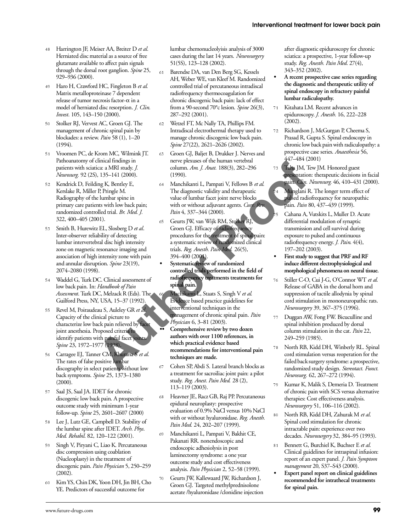- 48 Harrington JF, Meiser AA, Breiter D *et al.* Herniated disc material as a source of free glutamate available to affect pain signals through the dorsal root ganglion. *Spine* 25, 929–936 (2000).
- 49 Haro H, Crawford HC, Fingleton B *et al.* Matrix metalloproteinase 7 dependent release of tumor necrosis factor-α in a model of herniated disc resorption. *J. Clin. Invest*. 105, 143–150 (2000).
- 50 Stolker RJ, Vervest AC, Groen GJ. The management of chronic spinal pain by blockades: a review. *Pain* 58 (1), 1–20 (1994).
- 51 Vroomen PC, de Krom MC, Wilmink JT. Pathoanatomy of clinical findings in patients with sciatica: a MRI study. *J. Neurosurg.* 92 (2S), 135–141 (2000).
- 52 Kendrick D, Feilding K, Bentley E, Kerslake R, Miller P, Pringle M. Radiography of the lumbar spine in primary care patients with low back pain; randomized controlled trial. *Br. Med. J.* 322, 400–405 (2001).
- <sup>53</sup> Smith B, Hurewitz EL, Slosberg D *et al*. Inter-observer reliability of detecting lumbar intervertebral disc high intensity zone on magnetic resonance imaging and association of high intensity zone with pain and annular disruption. *Spine* 23(19), 2074–2080 (1998).
- <sup>54</sup> Waddel G, Turk DC. Clinical assessment of low back pain. In: *Handbook of Pain Assessment*. Turk DC, Melzack R (Eds). The Guilford Press, NY, USA, 15–37 (1992).
- <sup>55</sup> Revel M, Poiraudeau S, Auleley GR *et al*. Capacity of the clinical picture to characterize low back pain relieved by face joint anesthesia. Proposed criteria to identify patients with painful facet joint *Spine* 23, 1972–1977 (1998).
- 56 Carragee EJ, Tanner CM, Khurana S *et al.* The rates of false positive lumbar discography in select patients without low back symptoms. *Spine* 25, 1373–1380 (2000).
- Saal JS, Saal JA. IDET for chronic discogenic low back pain. A prospective outcome study with minimum 1-year follow-up. *Spine* 25, 2601–2607 (2000)
- Lee J, Lutz GE, Campbell D. Stability of the lumbar spine after IDET. *Arch. Phys. Med. Rehabil.* 82, 120–122 (2001).
- Singh V, Piryani C, Liao K. Percutaneous disc compression using coablation (Nucleoplasty) in the treatment of discogenic pain. *Pain Physician* 5, 250–259 (2002).
- <sup>60</sup> Kim YS, Chin DK, Yoon DH, Jin BH, Cho YE. Predictors of successful outcome for

lumbar chemonucleolyisis analysis of 3000 cases during the last 14 years. *Neurosurgery* 51(5S), 123–128 (2002).

- 61 Barendse DA, van Den Berg SG, Kessels AH, Weber WE, van Kleef M. Randomized controlled trial of percutaneous intradiscal radiofrequency thermocoagulation for chronic discogenic back pain: lack of effect from a 90-second 70°c lesion. *Spine* 26(3), 287–292 (2001).
- Wetzel FT, Mc Nally TA, Phillips FM. Intradiscal electrothermal therapy used to manage chronic discogenic low back pain. *Spine* 27(22), 2621–2626 (2002).
- Groen GJ, Baljet B, Drukker J. Nerves and nerve plexuses of the human vertebral column. *Am. J. Anat.* 188(3), 282–296 (1990).
- 64 Manchikanti L, Pampati V, Fellows B *et al.* The diagnostic validity and therapeutic value of lumbar facet joint nerve blocks with or without adjuvant agents. *Curr*. *Pain* 4, 337–344 (2000).
- intensity and the search of the through intensity of detections of the deterministeries of the matter of the search (1990).<br> **Authorities in the diagnostic video and the search of the search of the search of the matter of** Geurts JW, van Wijk RM, Stolker RJ, Groen GJ. Efficacy of radiofrequency procedures for the treatment of spinal pain: a systematic review of randomized clinical trials. *Reg. Anesth. Pain Med.* 26(5), 394–400 (2001).
	- **Systematic review of randomized controlled trials performed in the field of radiofrequency treatments treatments for spinal pain.**
	- <sup>66</sup> Machikanti L, Staats S, Singh V *et al.* Evidence based practice guidelines for interventional techniques in the management of chronic spinal pain. *Pain Physician* 6, 3–81 (2003).
		- Comprehensive review by two dozen **authors with over 1100 references, in which practical evidence based recommendations for interventional pain techniques are made.**
	- 67 Cohen SP, Abdi S. Lateral branch blocks as a treatment for sacroiliac joint pain: a pilot study. *Reg. Anest. Pain Med.* 28 (2), 113–119 (2003).
	- <sup>68</sup> Heavner JE, Racz GB, Raj PP. Percutaneous epidural neuroplasty: prospective evaluation of 0.9% NaCl versus 10% NaCl with or without hyaluronidase. *Reg. Anesth. Pain Med.* 24, 202–207 (1999).
	- <sup>69</sup> Manchikanti L, Pampati V, Bakhit CE, Pakanati RR. nonendoscopic and endoscopic adhesiolysis in post laminectomy syndrome: a one year outcome study and cost effectiveness analysis. *Pain Physician* 2, 52–58 (1999).
	- <sup>70</sup> Geurts JW, Kallewaard JW, Richardson J, Groen GJ. Targeted methylprednisolone acetate /hyaluronidase /clonidine injection

after diagnostic epiduroscopy for chronic sciatica: a prospective, 1-year follow-up study. *Reg. Anesth. Pain Med*. 27(4), 343–352 (2002).

- **A recent prospective case series regarding the diagnostic and therapeutic utility of spinal endoscopy in refractory painful lumbar radiculopathy.**
- 71 Kitahata LM. Recent advances in epiduroscopy. *J. Anesth.* 16, 222–228 (2002).
- 72 Richardson J, McGurgan P, Cheema S, Prasad R, Gupta S. Spinal endoscopy in chronic low back pain with radiculopathy: a prospective case series. *Anaesthesia* 56, 447–484 (2001)
- 73 Taha JM, Tew JM. Honored guest presentation: therapeutic decisions in facial pain. *Clin. Neurosurg.* 46, 410–431 (2000).
	- Munglani R. The longer term effect of pulsed radiofrequency for neuropathic pain. *Pain* 80, 437–439 (1999).
	- Cahana A, Vutskits L, Muller D. Acute differential modulation of synaptic transmission and cell survival during exposure to pulsed and continuous radiofrequency energy. *J. Pain*. 4(4), 197–202 (2003).
- **First study to suggest that PRF and RF induce different electrophysiological and morphological phenomena on neural tissue.**
- <sup>76</sup> Stiller C-O, Cui J-G, O'Connor WT *et al.* Release of GABA in the dorsal horn and suppression of tactile allodynia by spinal cord stimulation in mononeuropathic rats. *Neurosurgery* 39, 367–375 (1996).
- Duggan AW, Fong FW. Bicuculline and spinal inhibition produced by dorsal column stimulation in the cat. *Pain* 22, 249–259 (1985).
- 78 North RB, Kidd DH, Winberly RL. Spinal cord stimulation versus reoperation for the failed back surgery syndrome: a prospective, randomized study design. *Stereotact. Funct. Neurosurg.* 62, 267–272 (1994).
- <sup>79</sup> Kumar K, Malik S, Demeria D. Treatment of chronic pain with SCS versus alternative therapies: Cost effectiveness analysis. *Neurosurgery* 51, 106–116 (2002).
- 80 North RB, Kidd DH, Zahurak M *et al.* Spinal cord stimulation for chronic intractable pain: experience over two decades. *Neurosurgery* 32, 384–95 (1993).
- Bennett G, Burchiel K, Buchser E et al. Clinical guidelines for intraspinal infusion: report of an expert panel*. J. Pain Symptom management* 20, S37–S43 (2000).
- **Expert panel report on clinical guidelines recommended for intrathecal treatments for spinal pain.**